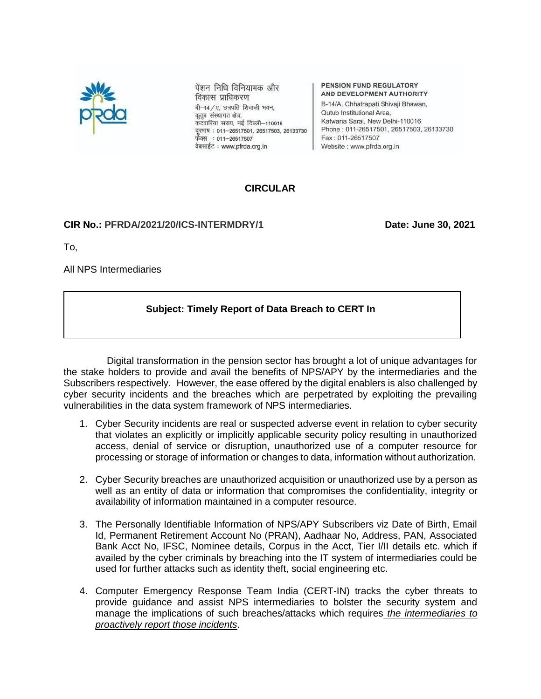

पेंशन निधि विनियामक और विकास प्राधिकरण बी-14/ए. छत्रपति शिवाजी भवन, कृतुब संस्थागत क्षेत्र, कटवारिया सराय, नई दिल्ली-110016 दूरमाष: 011-26517501, 26517503, 26133730 फैक्स: 011-26517507 वेबसाईट: www.pfrda.org.in

PENSION FUND REGULATORY AND DEVELOPMENT AUTHORITY

B-14/A, Chhatrapati Shivaji Bhawan, Qutub Institutional Area, Katwaria Sarai, New Delhi-110016 Phone: 011-26517501, 26517503, 26133730 Fax: 011-26517507 Website: www.pfrda.org.in

# **CIRCULAR**

#### **CIR No.: PFRDA/2021/20/ICS-INTERMDRY/1 Date: June 30, 2021**

To,

All NPS Intermediaries

# **Subject: Timely Report of Data Breach to CERT In**

Digital transformation in the pension sector has brought a lot of unique advantages for the stake holders to provide and avail the benefits of NPS/APY by the intermediaries and the Subscribers respectively. However, the ease offered by the digital enablers is also challenged by cyber security incidents and the breaches which are perpetrated by exploiting the prevailing vulnerabilities in the data system framework of NPS intermediaries.

- 1. Cyber Security incidents are real or suspected adverse event in relation to cyber security that violates an explicitly or implicitly applicable security policy resulting in unauthorized access, denial of service or disruption, unauthorized use of a computer resource for processing or storage of information or changes to data, information without authorization.
- 2. Cyber Security breaches are unauthorized acquisition or unauthorized use by a person as well as an entity of data or information that compromises the confidentiality, integrity or availability of information maintained in a computer resource.
- 3. The Personally Identifiable Information of NPS/APY Subscribers viz Date of Birth, Email Id, Permanent Retirement Account No (PRAN), Aadhaar No, Address, PAN, Associated Bank Acct No, IFSC, Nominee details, Corpus in the Acct, Tier I/II details etc. which if availed by the cyber criminals by breaching into the IT system of intermediaries could be used for further attacks such as identity theft, social engineering etc.
- 4. Computer Emergency Response Team India (CERT-IN) tracks the cyber threats to provide guidance and assist NPS intermediaries to bolster the security system and manage the implications of such breaches/attacks which requires *the intermediaries to proactively report those incidents*.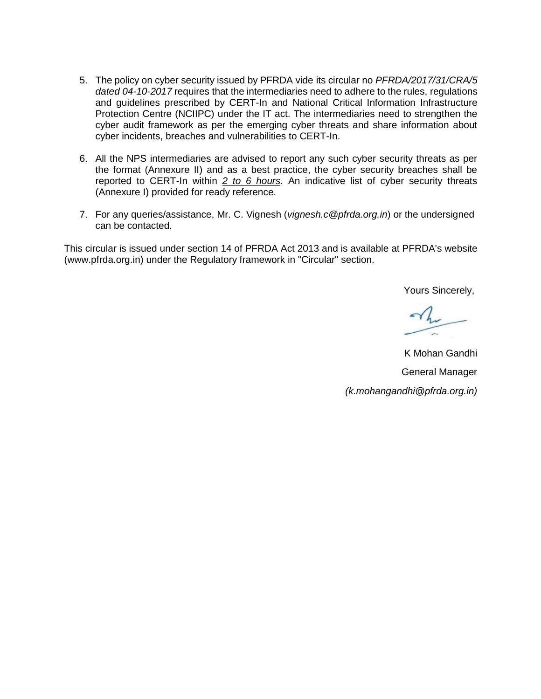- 5. The policy on cyber security issued by PFRDA vide its circular no *PFRDA/2017/31/CRA/5 dated 04-10-2017* requires that the intermediaries need to adhere to the rules, regulations and guidelines prescribed by CERT-In and National Critical Information Infrastructure Protection Centre (NCIIPC) under the IT act. The intermediaries need to strengthen the cyber audit framework as per the emerging cyber threats and share information about cyber incidents, breaches and vulnerabilities to CERT-In.
- 6. All the NPS intermediaries are advised to report any such cyber security threats as per the format (Annexure II) and as a best practice, the cyber security breaches shall be reported to CERT-In within *2 to 6 hours*. An indicative list of cyber security threats (Annexure I) provided for ready reference.
- 7. For any queries/assistance, Mr. C. Vignesh (*vignesh.c@pfrda.org.in*) or the undersigned can be contacted.

This circular is issued under section 14 of PFRDA Act 2013 and is available at PFRDA's website (www.pfrda.org.in) under the Regulatory framework in "Circular" section.

Yours Sincerely,

 $\gamma_{\rm h}$ 

K Mohan Gandhi General Manager *(k.mohangandhi@pfrda.org.in)*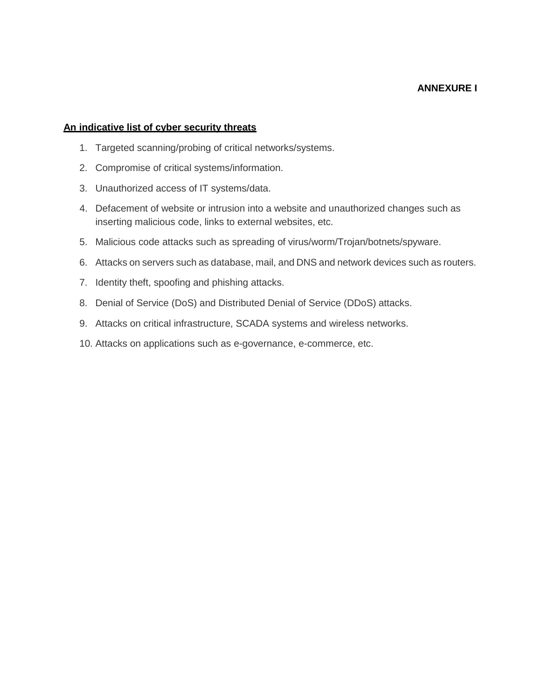### **ANNEXURE I**

#### **An indicative list of cyber security threats**

- 1. Targeted scanning/probing of critical networks/systems.
- 2. Compromise of critical systems/information.
- 3. Unauthorized access of IT systems/data.
- 4. Defacement of website or intrusion into a website and unauthorized changes such as inserting malicious code, links to external websites, etc.
- 5. Malicious code attacks such as spreading of virus/worm/Trojan/botnets/spyware.
- 6. Attacks on servers such as database, mail, and DNS and network devices such as routers.
- 7. Identity theft, spoofing and phishing attacks.
- 8. Denial of Service (DoS) and Distributed Denial of Service (DDoS) attacks.
- 9. Attacks on critical infrastructure, SCADA systems and wireless networks.
- 10. Attacks on applications such as e-governance, e-commerce, etc.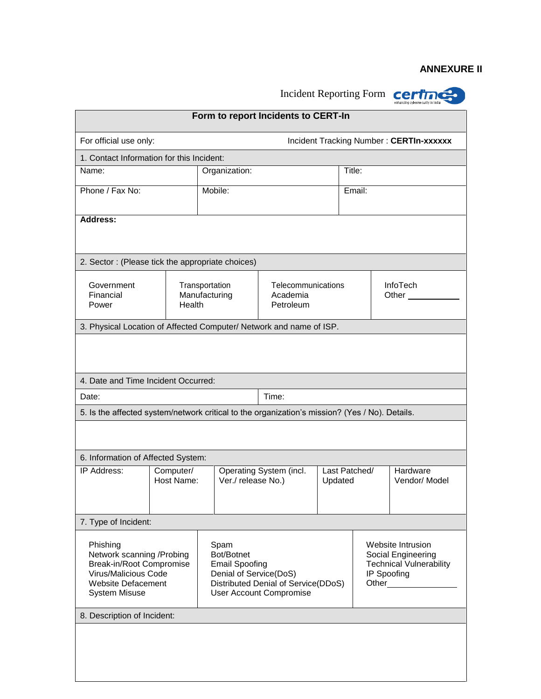## **ANNEXURE II**

| Incident Reporting Form<br>certi                                                                                                                |                         |                                                                                                                                                |                                             |                          |        |                                                                                                   |  |  |  |
|-------------------------------------------------------------------------------------------------------------------------------------------------|-------------------------|------------------------------------------------------------------------------------------------------------------------------------------------|---------------------------------------------|--------------------------|--------|---------------------------------------------------------------------------------------------------|--|--|--|
| Form to report Incidents to CERT-In                                                                                                             |                         |                                                                                                                                                |                                             |                          |        |                                                                                                   |  |  |  |
| For official use only:                                                                                                                          |                         | Incident Tracking Number: CERTIn-xxxxxx                                                                                                        |                                             |                          |        |                                                                                                   |  |  |  |
| 1. Contact Information for this Incident:                                                                                                       |                         |                                                                                                                                                |                                             |                          |        |                                                                                                   |  |  |  |
| Name:                                                                                                                                           |                         | Organization:                                                                                                                                  |                                             |                          | Title: |                                                                                                   |  |  |  |
| Phone / Fax No:                                                                                                                                 |                         | Mobile:                                                                                                                                        |                                             |                          | Email: |                                                                                                   |  |  |  |
| <b>Address:</b>                                                                                                                                 |                         |                                                                                                                                                |                                             |                          |        |                                                                                                   |  |  |  |
| 2. Sector: (Please tick the appropriate choices)                                                                                                |                         |                                                                                                                                                |                                             |                          |        |                                                                                                   |  |  |  |
| Government<br>Financial<br>Health<br>Power                                                                                                      |                         | Transportation<br>Manufacturing                                                                                                                | Telecommunications<br>Academia<br>Petroleum |                          |        | <b>InfoTech</b><br>Other                                                                          |  |  |  |
| 3. Physical Location of Affected Computer/ Network and name of ISP.                                                                             |                         |                                                                                                                                                |                                             |                          |        |                                                                                                   |  |  |  |
|                                                                                                                                                 |                         |                                                                                                                                                |                                             |                          |        |                                                                                                   |  |  |  |
| 4. Date and Time Incident Occurred:                                                                                                             |                         |                                                                                                                                                |                                             |                          |        |                                                                                                   |  |  |  |
| Date:                                                                                                                                           |                         |                                                                                                                                                | Time:                                       |                          |        |                                                                                                   |  |  |  |
| 5. Is the affected system/network critical to the organization's mission? (Yes / No). Details.                                                  |                         |                                                                                                                                                |                                             |                          |        |                                                                                                   |  |  |  |
|                                                                                                                                                 |                         |                                                                                                                                                |                                             |                          |        |                                                                                                   |  |  |  |
| 6. Information of Affected System:                                                                                                              |                         |                                                                                                                                                |                                             |                          |        |                                                                                                   |  |  |  |
| IP Address:                                                                                                                                     | Computer/<br>Host Name: | Ver./ release No.)                                                                                                                             | Operating System (incl.                     | Last Patched/<br>Updated |        | Hardware<br>Vendor/ Model                                                                         |  |  |  |
| 7. Type of Incident:                                                                                                                            |                         |                                                                                                                                                |                                             |                          |        |                                                                                                   |  |  |  |
| Phishing<br>Network scanning / Probing<br>Break-in/Root Compromise<br>Virus/Malicious Code<br><b>Website Defacement</b><br><b>System Misuse</b> |                         | Spam<br>Bot/Botnet<br><b>Email Spoofing</b><br>Denial of Service(DoS)<br>Distributed Denial of Service(DDoS)<br><b>User Account Compromise</b> |                                             |                          |        | Website Intrusion<br>Social Engineering<br><b>Technical Vulnerability</b><br>IP Spoofing<br>Other |  |  |  |
| 8. Description of Incident:                                                                                                                     |                         |                                                                                                                                                |                                             |                          |        |                                                                                                   |  |  |  |
|                                                                                                                                                 |                         |                                                                                                                                                |                                             |                          |        |                                                                                                   |  |  |  |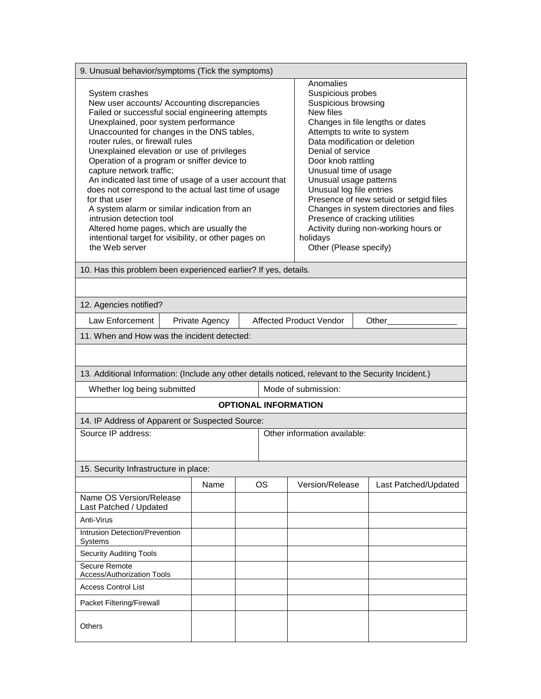| 9. Unusual behavior/symptoms (Tick the symptoms)                                                                                                                                                                                                                                                                                                                                                                                                                                                                                                                                                                                                                                                          |      |                                                                                                                                                                                                                                                                                                                                                                                                                                                                                                       |                             |                 |                      |  |  |
|-----------------------------------------------------------------------------------------------------------------------------------------------------------------------------------------------------------------------------------------------------------------------------------------------------------------------------------------------------------------------------------------------------------------------------------------------------------------------------------------------------------------------------------------------------------------------------------------------------------------------------------------------------------------------------------------------------------|------|-------------------------------------------------------------------------------------------------------------------------------------------------------------------------------------------------------------------------------------------------------------------------------------------------------------------------------------------------------------------------------------------------------------------------------------------------------------------------------------------------------|-----------------------------|-----------------|----------------------|--|--|
| System crashes<br>New user accounts/ Accounting discrepancies<br>Failed or successful social engineering attempts<br>Unexplained, poor system performance<br>Unaccounted for changes in the DNS tables,<br>router rules, or firewall rules<br>Unexplained elevation or use of privileges<br>Operation of a program or sniffer device to<br>capture network traffic;<br>An indicated last time of usage of a user account that<br>does not correspond to the actual last time of usage<br>for that user<br>A system alarm or similar indication from an<br>intrusion detection tool<br>Altered home pages, which are usually the<br>intentional target for visibility, or other pages on<br>the Web server |      | Anomalies<br>Suspicious probes<br>Suspicious browsing<br>New files<br>Changes in file lengths or dates<br>Attempts to write to system<br>Data modification or deletion<br>Denial of service<br>Door knob rattling<br>Unusual time of usage<br>Unusual usage patterns<br>Unusual log file entries<br>Presence of new setuid or setgid files<br>Changes in system directories and files<br>Presence of cracking utilities<br>Activity during non-working hours or<br>holidays<br>Other (Please specify) |                             |                 |                      |  |  |
| 10. Has this problem been experienced earlier? If yes, details.                                                                                                                                                                                                                                                                                                                                                                                                                                                                                                                                                                                                                                           |      |                                                                                                                                                                                                                                                                                                                                                                                                                                                                                                       |                             |                 |                      |  |  |
|                                                                                                                                                                                                                                                                                                                                                                                                                                                                                                                                                                                                                                                                                                           |      |                                                                                                                                                                                                                                                                                                                                                                                                                                                                                                       |                             |                 |                      |  |  |
| 12. Agencies notified?                                                                                                                                                                                                                                                                                                                                                                                                                                                                                                                                                                                                                                                                                    |      |                                                                                                                                                                                                                                                                                                                                                                                                                                                                                                       |                             |                 |                      |  |  |
| Law Enforcement<br>Private Agency<br><b>Affected Product Vendor</b><br>Other                                                                                                                                                                                                                                                                                                                                                                                                                                                                                                                                                                                                                              |      |                                                                                                                                                                                                                                                                                                                                                                                                                                                                                                       |                             |                 |                      |  |  |
| 11. When and How was the incident detected:                                                                                                                                                                                                                                                                                                                                                                                                                                                                                                                                                                                                                                                               |      |                                                                                                                                                                                                                                                                                                                                                                                                                                                                                                       |                             |                 |                      |  |  |
| 13. Additional Information: (Include any other details noticed, relevant to the Security Incident.)                                                                                                                                                                                                                                                                                                                                                                                                                                                                                                                                                                                                       |      |                                                                                                                                                                                                                                                                                                                                                                                                                                                                                                       |                             |                 |                      |  |  |
| Whether log being submitted                                                                                                                                                                                                                                                                                                                                                                                                                                                                                                                                                                                                                                                                               |      |                                                                                                                                                                                                                                                                                                                                                                                                                                                                                                       | Mode of submission:         |                 |                      |  |  |
|                                                                                                                                                                                                                                                                                                                                                                                                                                                                                                                                                                                                                                                                                                           |      |                                                                                                                                                                                                                                                                                                                                                                                                                                                                                                       | <b>OPTIONAL INFORMATION</b> |                 |                      |  |  |
| 14. IP Address of Apparent or Suspected Source:                                                                                                                                                                                                                                                                                                                                                                                                                                                                                                                                                                                                                                                           |      |                                                                                                                                                                                                                                                                                                                                                                                                                                                                                                       |                             |                 |                      |  |  |
| Source IP address:                                                                                                                                                                                                                                                                                                                                                                                                                                                                                                                                                                                                                                                                                        |      | Other information available:                                                                                                                                                                                                                                                                                                                                                                                                                                                                          |                             |                 |                      |  |  |
| 15. Security Infrastructure in place:                                                                                                                                                                                                                                                                                                                                                                                                                                                                                                                                                                                                                                                                     |      |                                                                                                                                                                                                                                                                                                                                                                                                                                                                                                       |                             |                 |                      |  |  |
|                                                                                                                                                                                                                                                                                                                                                                                                                                                                                                                                                                                                                                                                                                           | Name |                                                                                                                                                                                                                                                                                                                                                                                                                                                                                                       | OS.                         | Version/Release | Last Patched/Updated |  |  |
| Name OS Version/Release<br>Last Patched / Updated                                                                                                                                                                                                                                                                                                                                                                                                                                                                                                                                                                                                                                                         |      |                                                                                                                                                                                                                                                                                                                                                                                                                                                                                                       |                             |                 |                      |  |  |
| Anti-Virus                                                                                                                                                                                                                                                                                                                                                                                                                                                                                                                                                                                                                                                                                                |      |                                                                                                                                                                                                                                                                                                                                                                                                                                                                                                       |                             |                 |                      |  |  |
| Intrusion Detection/Prevention<br>Systems                                                                                                                                                                                                                                                                                                                                                                                                                                                                                                                                                                                                                                                                 |      |                                                                                                                                                                                                                                                                                                                                                                                                                                                                                                       |                             |                 |                      |  |  |
| <b>Security Auditing Tools</b>                                                                                                                                                                                                                                                                                                                                                                                                                                                                                                                                                                                                                                                                            |      |                                                                                                                                                                                                                                                                                                                                                                                                                                                                                                       |                             |                 |                      |  |  |
| Secure Remote<br><b>Access/Authorization Tools</b>                                                                                                                                                                                                                                                                                                                                                                                                                                                                                                                                                                                                                                                        |      |                                                                                                                                                                                                                                                                                                                                                                                                                                                                                                       |                             |                 |                      |  |  |
| <b>Access Control List</b>                                                                                                                                                                                                                                                                                                                                                                                                                                                                                                                                                                                                                                                                                |      |                                                                                                                                                                                                                                                                                                                                                                                                                                                                                                       |                             |                 |                      |  |  |
| Packet Filtering/Firewall                                                                                                                                                                                                                                                                                                                                                                                                                                                                                                                                                                                                                                                                                 |      |                                                                                                                                                                                                                                                                                                                                                                                                                                                                                                       |                             |                 |                      |  |  |
| <b>Others</b>                                                                                                                                                                                                                                                                                                                                                                                                                                                                                                                                                                                                                                                                                             |      |                                                                                                                                                                                                                                                                                                                                                                                                                                                                                                       |                             |                 |                      |  |  |